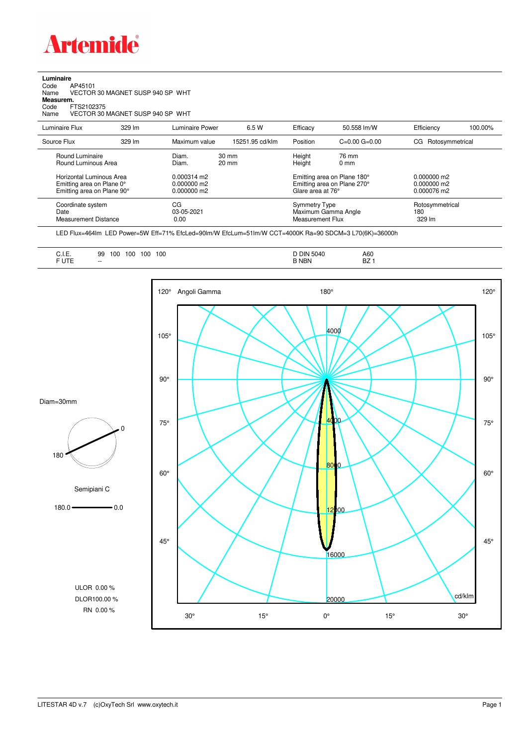

**Luminaire**<br>Code /<br>Name \ Code AP45101 Name VECTOR 30 MAGNET SUSP 940 SP WHT **Measurem.** Code FTS2102375 Name VECTOR 30 MAGNET SUSP 940 SP WHT

| Luminaire Flux                                                                                                                | $329 \, \text{Im}$ | Luminaire Power                                                          | 6.5 W                              | Efficacy | 50.558 lm/W                                                                                                                    | Efficiency         | 100.00%         |
|-------------------------------------------------------------------------------------------------------------------------------|--------------------|--------------------------------------------------------------------------|------------------------------------|----------|--------------------------------------------------------------------------------------------------------------------------------|--------------------|-----------------|
| Source Flux                                                                                                                   | 329 lm             | Maximum value                                                            | 15251.95 cd/klm                    | Position | $C=0.00$ $G=0.00$                                                                                                              | CG Rotosymmetrical |                 |
| Round Luminaire<br>Round Luminous Area<br>Horizontal Luminous Area<br>Emitting area on Plane 0°<br>Emitting area on Plane 90° |                    | Diam.<br>Diam.<br>$0.000314 \text{ m}$<br>$0.000000$ m2<br>$0.000000$ m2 | $30 \text{ mm}$<br>$20 \text{ mm}$ |          | Height<br>76 mm<br>Height<br>$0 \text{ mm}$<br>Emitting area on Plane 180°<br>Emitting area on Plane 270°<br>Glare area at 76° |                    |                 |
| Coordinate system<br>Date<br>Measurement Distance                                                                             |                    | CG<br>03-05-2021<br>0.00                                                 |                                    |          | Symmetry Type<br>Maximum Gamma Angle<br>Measurement Flux                                                                       |                    | Rotosymmetrical |

LED Flux=464lm LED Power=5W Eff=71% EfcLed=90lm/W EfcLum=51lm/W CCT=4000K Ra=90 SDCM=3 L70(6K)=36000h